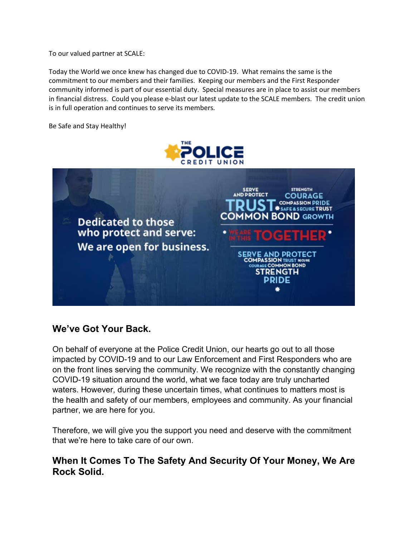To our valued partner at SCALE:

Today the World we once knew has changed due to COVID-19. What remains the same is the commitment to our members and their families. Keeping our members and the First Responder community informed is part of our essential duty. Special measures are in place to assist our members in financial distress. Could you please e-blast our latest update to the SCALE members. The credit union is in full operation and continues to serve its members.

Be Safe and Stay Healthy!



**Dedicated to those** who protect and serve: We are open for business.



#### **We've Got Your Back.**

On behalf of everyone at the Police Credit Union, our hearts go out to all those impacted by COVID-19 and to our Law Enforcement and First Responders who are on the front lines serving the community. We recognize with the constantly changing COVID-19 situation around the world, what we face today are truly uncharted waters. However, during these uncertain times, what continues to matters most is the health and safety of our members, employees and community. As your financial partner, we are here for you.

Therefore, we will give you the support you need and deserve with the commitment that we're here to take care of our own.

#### **When It Comes To The Safety And Security Of Your Money, We Are Rock Solid.**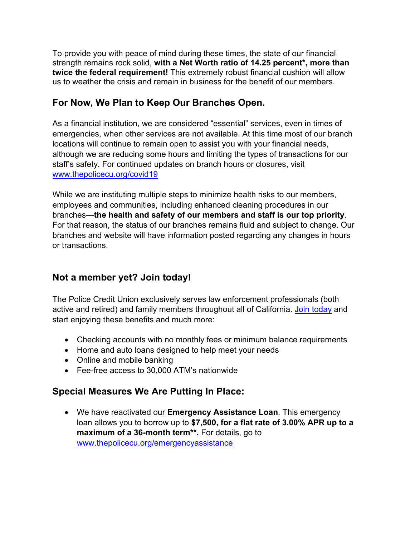To provide you with peace of mind during these times, the state of our financial strength remains rock solid, **with a Net Worth ratio of 14.25 percent\*, more than twice the federal requirement!** This extremely robust financial cushion will allow us to weather the crisis and remain in business for the benefit of our members.

### **For Now, We Plan to Keep Our Branches Open.**

As a financial institution, we are considered "essential" services, even in times of emergencies, when other services are not available. At this time most of our branch locations will continue to remain open to assist you with your financial needs, although we are reducing some hours and limiting the types of transactions for our staff's safety. For continued updates on branch hours or closures, visit [www.thepolicecu.org/covid19](http://www.thepolicecu.org/covid19)

While we are instituting multiple steps to minimize health risks to our members, employees and communities, including enhanced cleaning procedures in our branches—**the health and safety of our members and staff is our top priority**. For that reason, the status of our branches remains fluid and subject to change. Our branches and website will have information posted regarding any changes in hours or transactions.

### **Not a member yet? Join today!**

The Police Credit Union exclusively serves law enforcement professionals (both active and retired) and family members throughout all of California. [Join today](https://www.thepolicecu.org/benefits?utm_source=MD&utm_medium=email&utm_campaign=MDc19_email) and start enjoying these benefits and much more:

- Checking accounts with no monthly fees or minimum balance requirements
- Home and auto loans designed to help meet your needs
- Online and mobile banking
- Fee-free access to 30,000 ATM's nationwide

# **Special Measures We Are Putting In Place:**

• We have reactivated our **Emergency Assistance Loan**. This emergency loan allows you to borrow up to **\$7,500, for a flat rate of 3.00% APR up to a maximum of a 36-month term\*\*.** For details, go to [www.thepolicecu.org/emergencyassistance](http://www.thepolicecu.org/emergencyassistance)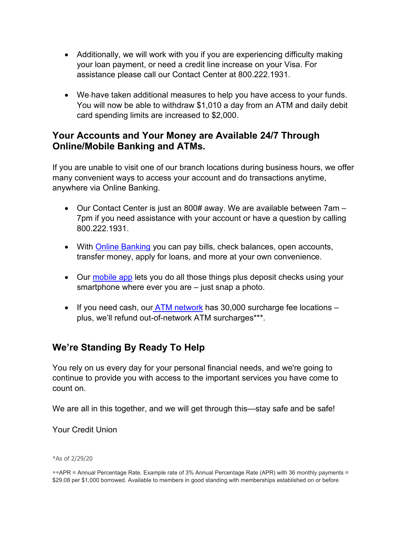- Additionally, we will work with you if you are experiencing difficulty making your loan payment, or need a credit line increase on your Visa. For assistance please call our Contact Center at 800.222.1931.
- We-have taken additional measures to help you have access to your funds. You will now be able to withdraw \$1,010 a day from an ATM and daily debit card spending limits are increased to \$2,000.

### **Your Accounts and Your Money are Available 24/7 Through Online/Mobile Banking and ATMs.**

If you are unable to visit one of our branch locations during business hours, we offer many convenient ways to access your account and do transactions anytime, anywhere via Online Banking.

- Our Contact Center is just an 800# away. We are available between 7am 7pm if you need assistance with your account or have a question by calling 800.222.1931.
- With **Online Banking** you can pay bills, check balances, open accounts, transfer money, apply for loans, and more at your own convenience.
- Our [mobile app](https://www.thepolicecu.org/online-services/mobile-banking) lets you do all those things plus deposit checks using your smartphone where ever you are – just snap a photo.
- If you need cash, our  $ATM$  network has 30,000 surcharge fee locations  $$ plus, we'll refund out-of-network ATM surcharges\*\*\*.

# **We're Standing By Ready To Help**

You rely on us every day for your personal financial needs, and we're going to continue to provide you with access to the important services you have come to count on.

We are all in this together, and we will get through this—stay safe and be safe!

Your Credit Union

\*As of 2/29/20

\*\*APR = Annual Percentage Rate. Example rate of 3% Annual Percentage Rate (APR) with 36 monthly payments = \$29.08 per \$1,000 borrowed. Available to members in good standing with memberships established on or before